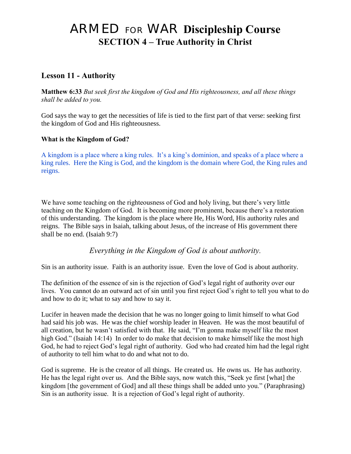# ARMED FOR WAR **Discipleship Course SECTION 4 – True Authority in Christ**

## **Lesson 11 - Authority**

**Matthew 6:33** *But seek first the kingdom of God and His righteousness, and all these things shall be added to you.*

God says the way to get the necessities of life is tied to the first part of that verse: seeking first the kingdom of God and His righteousness.

#### **What is the Kingdom of God?**

A kingdom is a place where a king rules. It"s a king"s dominion, and speaks of a place where a king rules. Here the King is God, and the kingdom is the domain where God, the King rules and reigns.

We have some teaching on the righteousness of God and holy living, but there's very little teaching on the Kingdom of God. It is becoming more prominent, because there"s a restoration of this understanding. The kingdom is the place where He, His Word, His authority rules and reigns. The Bible says in Isaiah, talking about Jesus, of the increase of His government there shall be no end. (Isaiah 9:7)

*Everything in the Kingdom of God is about authority.*

Sin is an authority issue. Faith is an authority issue. Even the love of God is about authority.

The definition of the essence of sin is the rejection of God"s legal right of authority over our lives. You cannot do an outward act of sin until you first reject God's right to tell you what to do and how to do it; what to say and how to say it.

Lucifer in heaven made the decision that he was no longer going to limit himself to what God had said his job was. He was the chief worship leader in Heaven. He was the most beautiful of all creation, but he wasn"t satisfied with that. He said, "I"m gonna make myself like the most high God." (Isaiah 14:14) In order to do make that decision to make himself like the most high God, he had to reject God"s legal right of authority. God who had created him had the legal right of authority to tell him what to do and what not to do.

God is supreme. He is the creator of all things. He created us. He owns us. He has authority. He has the legal right over us. And the Bible says, now watch this, "Seek ye first [what] the kingdom [the government of God] and all these things shall be added unto you." (Paraphrasing) Sin is an authority issue. It is a rejection of God's legal right of authority.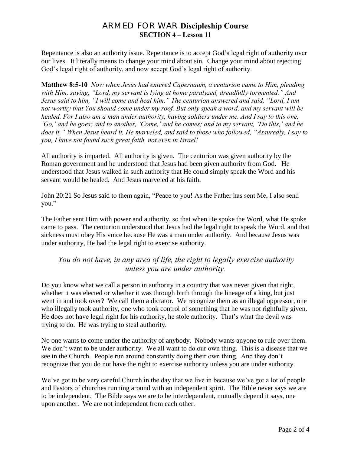## ARMED FOR WAR **Discipleship Course SECTION 4 – Lesson 11**

Repentance is also an authority issue. Repentance is to accept God's legal right of authority over our lives. It literally means to change your mind about sin. Change your mind about rejecting God's legal right of authority, and now accept God's legal right of authority.

**Matthew 8:5-10** *Now when Jesus had entered Capernaum, a centurion came to Him, pleading with Him, saying, "Lord, my servant is lying at home paralyzed, dreadfully tormented." And Jesus said to him, "I will come and heal him." The centurion answered and said, "Lord, I am not worthy that You should come under my roof. But only speak a word, and my servant will be healed. For I also am a man under authority, having soldiers under me. And I say to this one, "Go," and he goes; and to another, "Come," and he comes; and to my servant, "Do this," and he does it." When Jesus heard it, He marveled, and said to those who followed, "Assuredly, I say to you, I have not found such great faith, not even in Israel!*

All authority is imparted. All authority is given. The centurion was given authority by the Roman government and he understood that Jesus had been given authority from God. He understood that Jesus walked in such authority that He could simply speak the Word and his servant would be healed. And Jesus marveled at his faith.

John 20:21 So Jesus said to them again, "Peace to you! As the Father has sent Me, I also send you."

The Father sent Him with power and authority, so that when He spoke the Word, what He spoke came to pass. The centurion understood that Jesus had the legal right to speak the Word, and that sickness must obey His voice because He was a man under authority. And because Jesus was under authority, He had the legal right to exercise authority.

#### *You do not have, in any area of life, the right to legally exercise authority unless you are under authority.*

Do you know what we call a person in authority in a country that was never given that right, whether it was elected or whether it was through birth through the lineage of a king, but just went in and took over? We call them a dictator. We recognize them as an illegal oppressor, one who illegally took authority, one who took control of something that he was not rightfully given. He does not have legal right for his authority, he stole authority. That's what the devil was trying to do. He was trying to steal authority.

No one wants to come under the authority of anybody. Nobody wants anyone to rule over them. We don't want to be under authority. We all want to do our own thing. This is a disease that we see in the Church. People run around constantly doing their own thing. And they don"t recognize that you do not have the right to exercise authority unless you are under authority.

We've got to be very careful Church in the day that we live in because we've got a lot of people and Pastors of churches running around with an independent spirit. The Bible never says we are to be independent. The Bible says we are to be interdependent, mutually depend it says, one upon another. We are not independent from each other.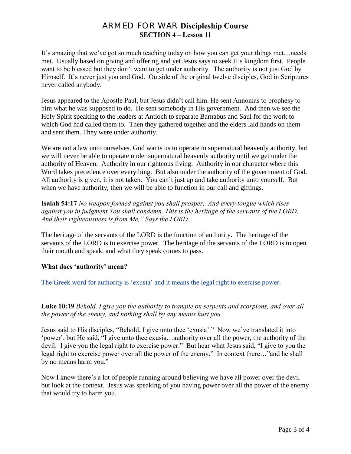## ARMED FOR WAR **Discipleship Course SECTION 4 – Lesson 11**

It's amazing that we've got so much teaching today on how you can get your things met... needs met. Usually based on giving and offering and yet Jesus says to seek His kingdom first. People want to be blessed but they don"t want to get under authority. The authority is not just God by Himself. It's never just you and God. Outside of the original twelve disciples, God in Scriptures never called anybody.

Jesus appeared to the Apostle Paul, but Jesus didn"t call him. He sent Annonias to prophesy to him what he was supposed to do. He sent somebody in His government. And then we see the Holy Spirit speaking to the leaders at Antioch to separate Barnabus and Saul for the work to which God had called them to. Then they gathered together and the elders laid hands on them and sent them. They were under authority.

We are not a law unto ourselves. God wants us to operate in supernatural heavenly authority, but we will never be able to operate under supernatural heavenly authority until we get under the authority of Heaven. Authority in our righteous living. Authority in our character where this Word takes precedence over everything. But also under the authority of the government of God. All authority is given, it is not taken. You can't just up and take authority unto yourself. But when we have authority, then we will be able to function in our call and giftings.

**Isaiah 54:17** *No weapon formed against you shall prosper, And every tongue which rises against you in judgment You shall condemn. This is the heritage of the servants of the LORD, And their righteousness is from Me," Says the LORD.*

The heritage of the servants of the LORD is the function of authority. The heritage of the servants of the LORD is to exercise power. The heritage of the servants of the LORD is to open their mouth and speak, and what they speak comes to pass.

#### **What does 'authority' mean?**

The Greek word for authority is "exusia" and it means the legal right to exercise power.

**Luke 10:19** *Behold, I give you the authority to trample on serpents and scorpions, and over all the power of the enemy, and nothing shall by any means hurt you.*

Jesus said to His disciples, "Behold, I give unto thee "exusia"." Now we"ve translated it into "power", but He said, "I give unto thee exusia…authority over all the power, the authority of the devil. I give you the legal right to exercise power." But hear what Jesus said, "I give to you the legal right to exercise power over all the power of the enemy." In context there…"and he shall by no means harm you."

Now I know there"s a lot of people running around believing we have all power over the devil but look at the context. Jesus was speaking of you having power over all the power of the enemy that would try to harm you.